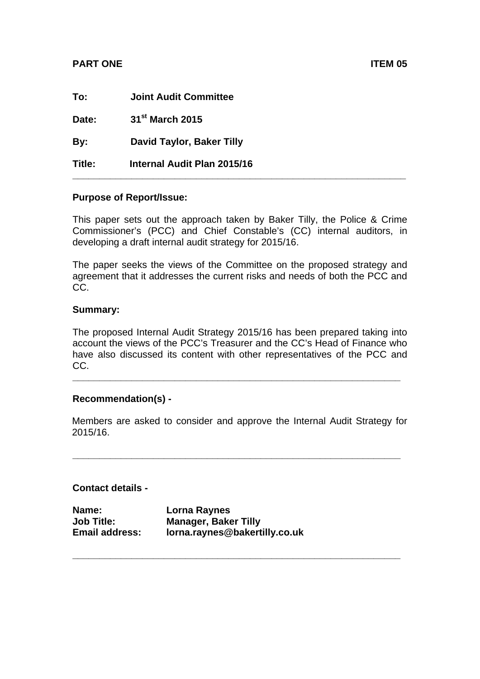### **PART ONE ITEM 05**

| To:    | <b>Joint Audit Committee</b> |
|--------|------------------------------|
| Date:  | 31 <sup>st</sup> March 2015  |
| By:    | David Taylor, Baker Tilly    |
| Title: | Internal Audit Plan 2015/16  |

### **Purpose of Report/Issue:**

This paper sets out the approach taken by Baker Tilly, the Police & Crime Commissioner's (PCC) and Chief Constable's (CC) internal auditors, in developing a draft internal audit strategy for 2015/16.

The paper seeks the views of the Committee on the proposed strategy and agreement that it addresses the current risks and needs of both the PCC and CC.

### **Summary:**

The proposed Internal Audit Strategy 2015/16 has been prepared taking into account the views of the PCC's Treasurer and the CC's Head of Finance who have also discussed its content with other representatives of the PCC and CC.

**\_\_\_\_\_\_\_\_\_\_\_\_\_\_\_\_\_\_\_\_\_\_\_\_\_\_\_\_\_\_\_\_\_\_\_\_\_\_\_\_\_\_\_\_\_\_\_\_\_\_\_\_\_\_\_\_\_\_\_\_\_** 

### **Recommendation(s) -**

Members are asked to consider and approve the Internal Audit Strategy for 2015/16.

**\_\_\_\_\_\_\_\_\_\_\_\_\_\_\_\_\_\_\_\_\_\_\_\_\_\_\_\_\_\_\_\_\_\_\_\_\_\_\_\_\_\_\_\_\_\_\_\_\_\_\_\_\_\_\_\_\_\_\_\_\_** 

**\_\_\_\_\_\_\_\_\_\_\_\_\_\_\_\_\_\_\_\_\_\_\_\_\_\_\_\_\_\_\_\_\_\_\_\_\_\_\_\_\_\_\_\_\_\_\_\_\_\_\_\_\_\_\_\_\_\_\_\_\_** 

### **Contact details -**

| Name:                 | Lorna Raynes                  |
|-----------------------|-------------------------------|
| <b>Job Title:</b>     | <b>Manager, Baker Tilly</b>   |
| <b>Email address:</b> | lorna.raynes@bakertilly.co.uk |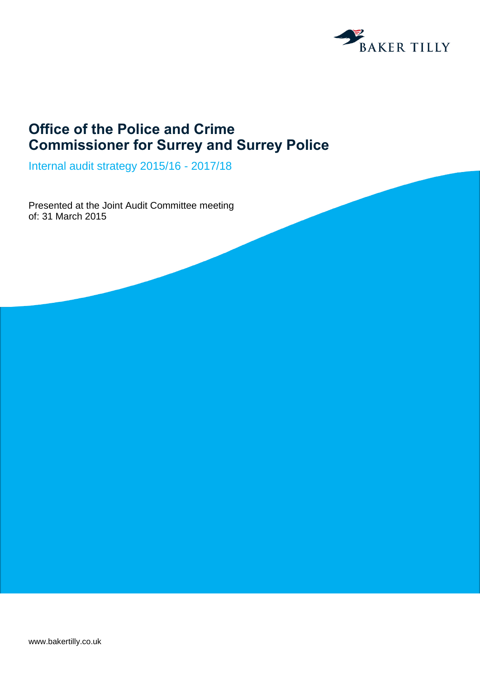

## **Office of the Police and Crime Commissioner for Surrey and Surrey Police**

Internal audit strategy 2015/16 - 2017/18

Presented at the Joint Audit Committee meeting of: 31 March 2015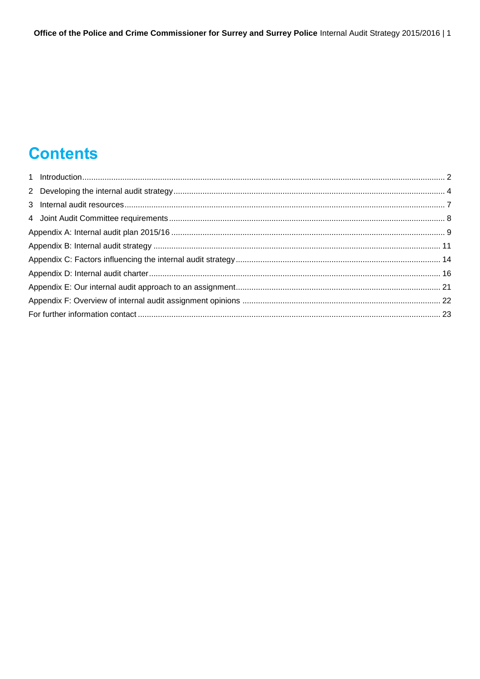# **Contents**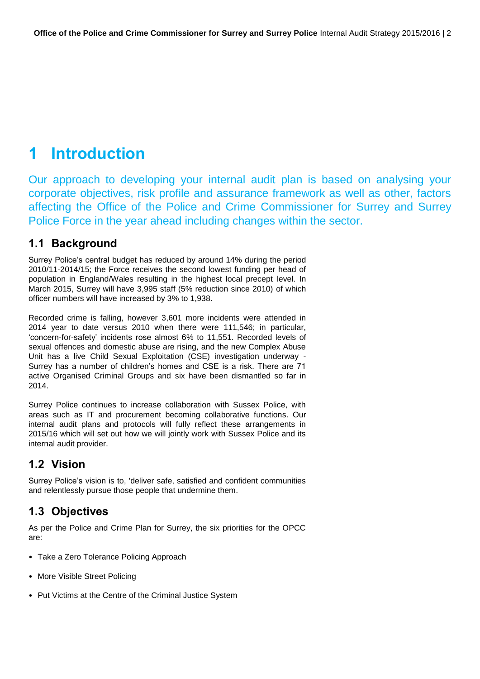## <span id="page-3-0"></span>**1 Introduction**

Our approach to developing your internal audit plan is based on analysing your corporate objectives, risk profile and assurance framework as well as other, factors affecting the Office of the Police and Crime Commissioner for Surrey and Surrey Police Force in the year ahead including changes within the sector.

### **1.1 Background**

Surrey Police's central budget has reduced by around 14% during the period 2010/11-2014/15; the Force receives the second lowest funding per head of population in England/Wales resulting in the highest local precept level. In March 2015, Surrey will have 3,995 staff (5% reduction since 2010) of which officer numbers will have increased by 3% to 1,938.

Recorded crime is falling, however 3,601 more incidents were attended in 2014 year to date versus 2010 when there were 111,546; in particular, 'concern-for-safety' incidents rose almost 6% to 11,551. Recorded levels of sexual offences and domestic abuse are rising, and the new Complex Abuse Unit has a live Child Sexual Exploitation (CSE) investigation underway - Surrey has a number of children's homes and CSE is a risk. There are 71 active Organised Criminal Groups and six have been dismantled so far in 2014.

Surrey Police continues to increase collaboration with Sussex Police, with areas such as IT and procurement becoming collaborative functions. Our internal audit plans and protocols will fully reflect these arrangements in 2015/16 which will set out how we will jointly work with Sussex Police and its internal audit provider.

## **1.2 Vision**

Surrey Police's vision is to, 'deliver safe, satisfied and confident communities and relentlessly pursue those people that undermine them.

## **1.3 Objectives**

As per the Police and Crime Plan for Surrey, the six priorities for the OPCC are:

- Take a Zero Tolerance Policing Approach
- More Visible Street Policing
- Put Victims at the Centre of the Criminal Justice System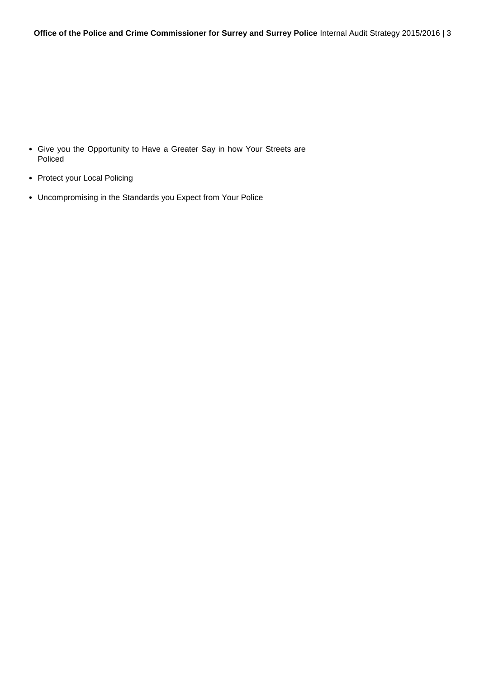- Give you the Opportunity to Have a Greater Say in how Your Streets are Policed
- Protect your Local Policing
- Uncompromising in the Standards you Expect from Your Police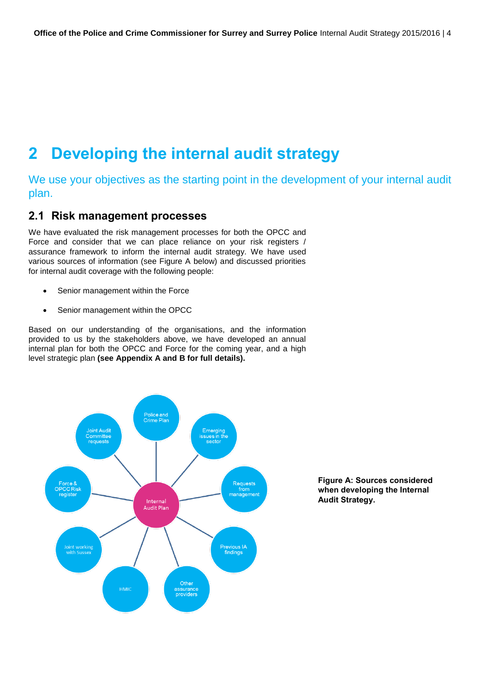## <span id="page-5-0"></span>**2 Developing the internal audit strategy**

We use your objectives as the starting point in the development of your internal audit plan.

### **2.1 Risk management processes**

We have evaluated the risk management processes for both the OPCC and Force and consider that we can place reliance on your risk registers / assurance framework to inform the internal audit strategy. We have used various sources of information (see Figure A below) and discussed priorities for internal audit coverage with the following people:

- Senior management within the Force
- Senior management within the OPCC

Based on our understanding of the organisations, and the information provided to us by the stakeholders above, we have developed an annual internal plan for both the OPCC and Force for the coming year, and a high level strategic plan **(see Appendix A and B for full details).** 



**Figure A: Sources considered when developing the Internal Audit Strategy.**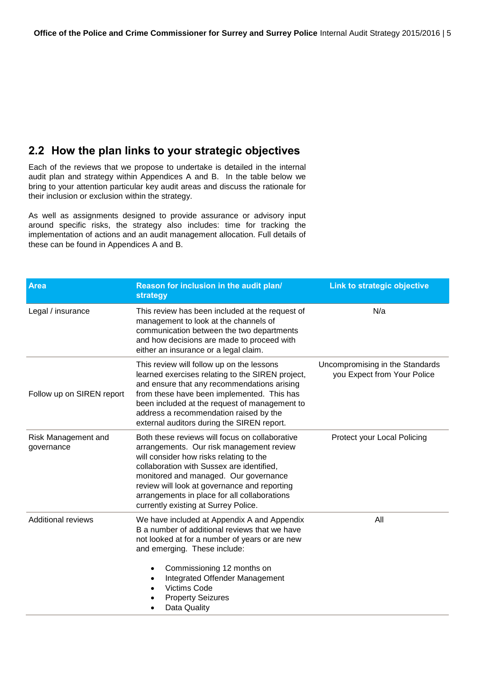### **2.2 How the plan links to your strategic objectives**

Each of the reviews that we propose to undertake is detailed in the internal audit plan and strategy within Appendices A and B. In the table below we bring to your attention particular key audit areas and discuss the rationale for their inclusion or exclusion within the strategy.

As well as assignments designed to provide assurance or advisory input around specific risks, the strategy also includes: time for tracking the implementation of actions and an audit management allocation. Full details of these can be found in Appendices A and B.

| <b>Area</b>                       | Reason for inclusion in the audit plan/<br>strategy                                                                                                                                                                                                                                                                                                                 | Link to strategic objective                                    |
|-----------------------------------|---------------------------------------------------------------------------------------------------------------------------------------------------------------------------------------------------------------------------------------------------------------------------------------------------------------------------------------------------------------------|----------------------------------------------------------------|
| Legal / insurance                 | This review has been included at the request of<br>management to look at the channels of<br>communication between the two departments<br>and how decisions are made to proceed with<br>either an insurance or a legal claim.                                                                                                                                        | N/a                                                            |
| Follow up on SIREN report         | This review will follow up on the lessons<br>learned exercises relating to the SIREN project,<br>and ensure that any recommendations arising<br>from these have been implemented. This has<br>been included at the request of management to<br>address a recommendation raised by the<br>external auditors during the SIREN report.                                 | Uncompromising in the Standards<br>you Expect from Your Police |
| Risk Management and<br>governance | Both these reviews will focus on collaborative<br>arrangements. Our risk management review<br>will consider how risks relating to the<br>collaboration with Sussex are identified,<br>monitored and managed. Our governance<br>review will look at governance and reporting<br>arrangements in place for all collaborations<br>currently existing at Surrey Police. | Protect your Local Policing                                    |
| <b>Additional reviews</b>         | We have included at Appendix A and Appendix<br>B a number of additional reviews that we have<br>not looked at for a number of years or are new<br>and emerging. These include:                                                                                                                                                                                      | All                                                            |
|                                   | Commissioning 12 months on<br>$\bullet$<br>Integrated Offender Management<br>٠<br><b>Victims Code</b><br><b>Property Seizures</b><br>Data Quality                                                                                                                                                                                                                   |                                                                |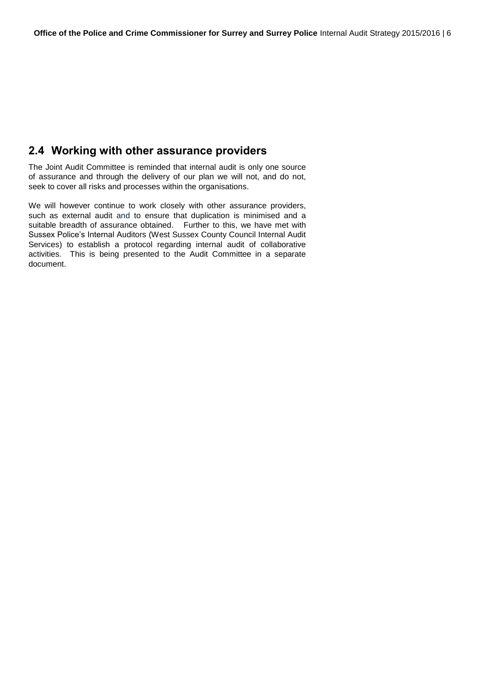### **2.4 Working with other assurance providers**

The Joint Audit Committee is reminded that internal audit is only one source of assurance and through the delivery of our plan we will not, and do not, seek to cover all risks and processes within the organisations.

We will however continue to work closely with other assurance providers, such as external audit and to ensure that duplication is minimised and a suitable breadth of assurance obtained. Further to this, we have met with Sussex Police's Internal Auditors (West Sussex County Council Internal Audit Services) to establish a protocol regarding internal audit of collaborative activities. This is being presented to the Audit Committee in a separate document.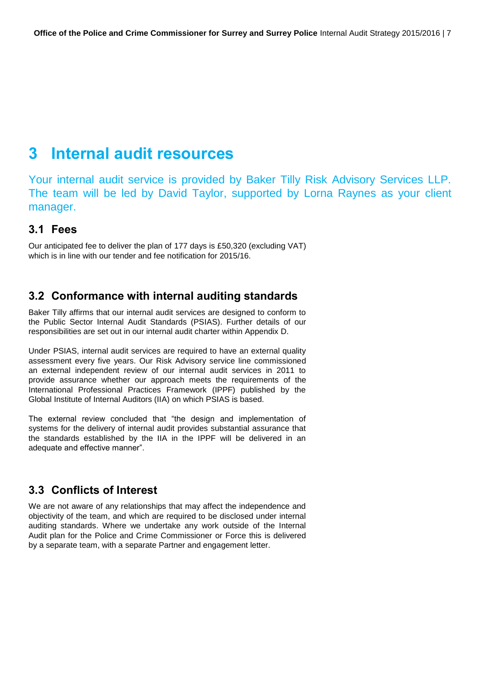## <span id="page-8-0"></span>**3 Internal audit resources**

Your internal audit service is provided by Baker Tilly Risk Advisory Services LLP. The team will be led by David Taylor, supported by Lorna Raynes as your client manager.

### **3.1 Fees**

Our anticipated fee to deliver the plan of 177 days is £50,320 (excluding VAT) which is in line with our tender and fee notification for 2015/16.

### **3.2 Conformance with internal auditing standards**

Baker Tilly affirms that our internal audit services are designed to conform to the Public Sector Internal Audit Standards (PSIAS). Further details of our responsibilities are set out in our internal audit charter within Appendix D.

Under PSIAS, internal audit services are required to have an external quality assessment every five years. Our Risk Advisory service line commissioned an external independent review of our internal audit services in 2011 to provide assurance whether our approach meets the requirements of the International Professional Practices Framework (IPPF) published by the Global Institute of Internal Auditors (IIA) on which PSIAS is based.

The external review concluded that "the design and implementation of systems for the delivery of internal audit provides substantial assurance that the standards established by the IIA in the IPPF will be delivered in an adequate and effective manner".

### **3.3 Conflicts of Interest**

We are not aware of any relationships that may affect the independence and objectivity of the team, and which are required to be disclosed under internal auditing standards. Where we undertake any work outside of the Internal Audit plan for the Police and Crime Commissioner or Force this is delivered by a separate team, with a separate Partner and engagement letter.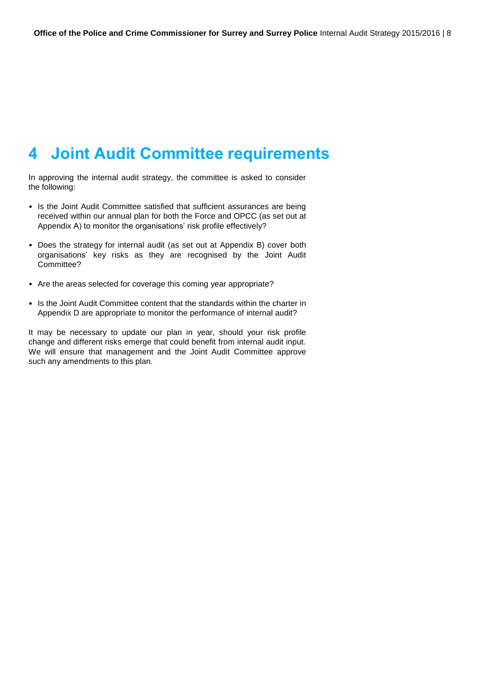## <span id="page-9-0"></span>**4 Joint Audit Committee requirements**

In approving the internal audit strategy, the committee is asked to consider the following:

- Is the Joint Audit Committee satisfied that sufficient assurances are being received within our annual plan for both the Force and OPCC (as set out at Appendix A) to monitor the organisations' risk profile effectively?
- Does the strategy for internal audit (as set out at Appendix B) cover both organisations' key risks as they are recognised by the Joint Audit Committee?
- Are the areas selected for coverage this coming year appropriate?
- Is the Joint Audit Committee content that the standards within the charter in Appendix D are appropriate to monitor the performance of internal audit?

It may be necessary to update our plan in year, should your risk profile change and different risks emerge that could benefit from internal audit input. We will ensure that management and the Joint Audit Committee approve such any amendments to this plan.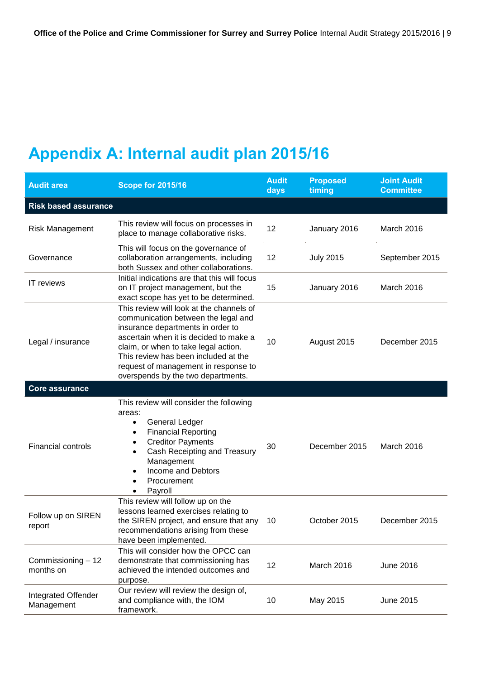# <span id="page-10-0"></span>**Appendix A: Internal audit plan 2015/16**

| <b>Audit area</b>                 | <b>Scope for 2015/16</b>                                                                                                                                                                                                                                                                                                     | <b>Audit</b><br>days | <b>Proposed</b><br>timing | <b>Joint Audit</b><br><b>Committee</b> |
|-----------------------------------|------------------------------------------------------------------------------------------------------------------------------------------------------------------------------------------------------------------------------------------------------------------------------------------------------------------------------|----------------------|---------------------------|----------------------------------------|
| <b>Risk based assurance</b>       |                                                                                                                                                                                                                                                                                                                              |                      |                           |                                        |
| <b>Risk Management</b>            | This review will focus on processes in<br>place to manage collaborative risks.                                                                                                                                                                                                                                               | 12                   | January 2016              | March 2016                             |
| Governance                        | This will focus on the governance of<br>collaboration arrangements, including<br>both Sussex and other collaborations.                                                                                                                                                                                                       | 12                   | <b>July 2015</b>          | September 2015                         |
| IT reviews                        | Initial indications are that this will focus<br>on IT project management, but the<br>exact scope has yet to be determined.                                                                                                                                                                                                   | 15                   | January 2016              | March 2016                             |
| Legal / insurance                 | This review will look at the channels of<br>communication between the legal and<br>insurance departments in order to<br>ascertain when it is decided to make a<br>claim, or when to take legal action.<br>This review has been included at the<br>request of management in response to<br>overspends by the two departments. | 10                   | August 2015               | December 2015                          |
| <b>Core assurance</b>             |                                                                                                                                                                                                                                                                                                                              |                      |                           |                                        |
| <b>Financial controls</b>         | This review will consider the following<br>areas:<br>General Ledger<br>$\bullet$<br><b>Financial Reporting</b><br>$\bullet$<br><b>Creditor Payments</b><br>$\bullet$<br>Cash Receipting and Treasury<br>$\bullet$<br>Management<br>Income and Debtors<br>$\bullet$<br>Procurement<br>$\bullet$<br>Payroll<br>$\bullet$       | 30                   | December 2015             | March 2016                             |
| Follow up on SIREN<br>report      | This review will follow up on the<br>lessons learned exercises relating to<br>the SIREN project, and ensure that any<br>recommendations arising from these<br>have been implemented.                                                                                                                                         | 10                   | October 2015              | December 2015                          |
| Commissioning - 12<br>months on   | This will consider how the OPCC can<br>demonstrate that commissioning has<br>achieved the intended outcomes and<br>purpose.                                                                                                                                                                                                  | 12                   | March 2016                | June 2016                              |
| Integrated Offender<br>Management | Our review will review the design of,<br>and compliance with, the IOM<br>framework.                                                                                                                                                                                                                                          | 10                   | May 2015                  | June 2015                              |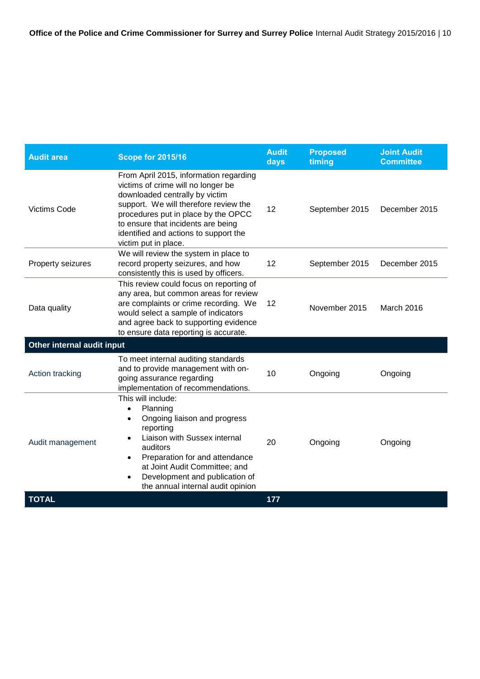| <b>Audit area</b>          | <b>Scope for 2015/16</b>                                                                                                                                                                                                                                                                                                           | <b>Audit</b><br>days | <b>Proposed</b><br>timing | <b>Joint Audit</b><br><b>Committee</b> |
|----------------------------|------------------------------------------------------------------------------------------------------------------------------------------------------------------------------------------------------------------------------------------------------------------------------------------------------------------------------------|----------------------|---------------------------|----------------------------------------|
| <b>Victims Code</b>        | From April 2015, information regarding<br>victims of crime will no longer be<br>downloaded centrally by victim<br>support. We will therefore review the<br>procedures put in place by the OPCC<br>to ensure that incidents are being<br>identified and actions to support the<br>victim put in place.                              | 12                   | September 2015            | December 2015                          |
| Property seizures          | We will review the system in place to<br>record property seizures, and how<br>consistently this is used by officers.                                                                                                                                                                                                               | 12                   | September 2015            | December 2015                          |
| Data quality               | This review could focus on reporting of<br>any area, but common areas for review<br>are complaints or crime recording. We<br>would select a sample of indicators<br>and agree back to supporting evidence<br>to ensure data reporting is accurate.                                                                                 | 12                   | November 2015             | March 2016                             |
| Other internal audit input |                                                                                                                                                                                                                                                                                                                                    |                      |                           |                                        |
| Action tracking            | To meet internal auditing standards<br>and to provide management with on-<br>going assurance regarding<br>implementation of recommendations.                                                                                                                                                                                       | 10                   | Ongoing                   | Ongoing                                |
| Audit management           | This will include:<br>Planning<br>$\bullet$<br>Ongoing liaison and progress<br>$\bullet$<br>reporting<br>Liaison with Sussex internal<br>$\bullet$<br>auditors<br>Preparation for and attendance<br>$\bullet$<br>at Joint Audit Committee; and<br>Development and publication of<br>$\bullet$<br>the annual internal audit opinion | 20                   | Ongoing                   | Ongoing                                |
| <b>TOTAL</b>               |                                                                                                                                                                                                                                                                                                                                    | 177                  |                           |                                        |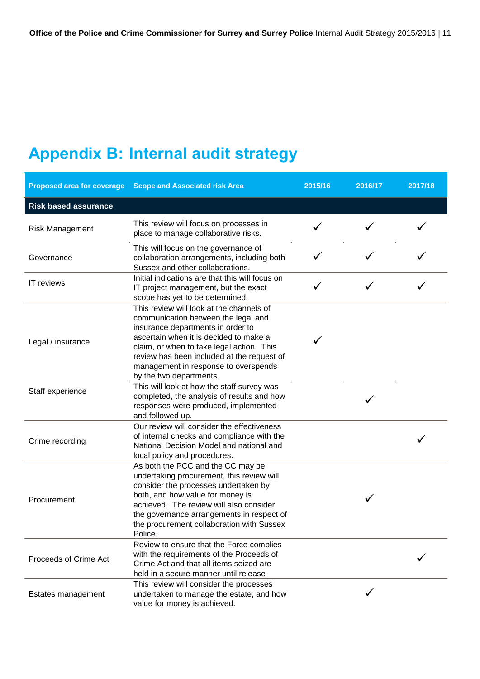# <span id="page-12-0"></span>**Appendix B: Internal audit strategy**

| <b>Proposed area for coverage</b> | <b>Scope and Associated risk Area</b>                                                                                                                                                                                                                                                                                        | 2015/16 | 2016/17 | 2017/18 |
|-----------------------------------|------------------------------------------------------------------------------------------------------------------------------------------------------------------------------------------------------------------------------------------------------------------------------------------------------------------------------|---------|---------|---------|
| <b>Risk based assurance</b>       |                                                                                                                                                                                                                                                                                                                              |         |         |         |
| <b>Risk Management</b>            | This review will focus on processes in<br>place to manage collaborative risks.                                                                                                                                                                                                                                               |         |         |         |
| Governance                        | This will focus on the governance of<br>collaboration arrangements, including both<br>Sussex and other collaborations.                                                                                                                                                                                                       |         |         |         |
| IT reviews                        | Initial indications are that this will focus on<br>IT project management, but the exact<br>scope has yet to be determined.                                                                                                                                                                                                   |         |         |         |
| Legal / insurance                 | This review will look at the channels of<br>communication between the legal and<br>insurance departments in order to<br>ascertain when it is decided to make a<br>claim, or when to take legal action. This<br>review has been included at the request of<br>management in response to overspends<br>by the two departments. |         |         |         |
| Staff experience                  | This will look at how the staff survey was<br>completed, the analysis of results and how<br>responses were produced, implemented<br>and followed up.                                                                                                                                                                         |         |         |         |
| Crime recording                   | Our review will consider the effectiveness<br>of internal checks and compliance with the<br>National Decision Model and national and<br>local policy and procedures.                                                                                                                                                         |         |         |         |
| Procurement                       | As both the PCC and the CC may be<br>undertaking procurement, this review will<br>consider the processes undertaken by<br>both, and how value for money is<br>achieved. The review will also consider<br>the governance arrangements in respect of<br>the procurement collaboration with Sussex<br>Police.                   |         |         |         |
| Proceeds of Crime Act             | Review to ensure that the Force complies<br>with the requirements of the Proceeds of<br>Crime Act and that all items seized are<br>held in a secure manner until release                                                                                                                                                     |         |         |         |
| Estates management                | This review will consider the processes<br>undertaken to manage the estate, and how<br>value for money is achieved.                                                                                                                                                                                                          |         |         |         |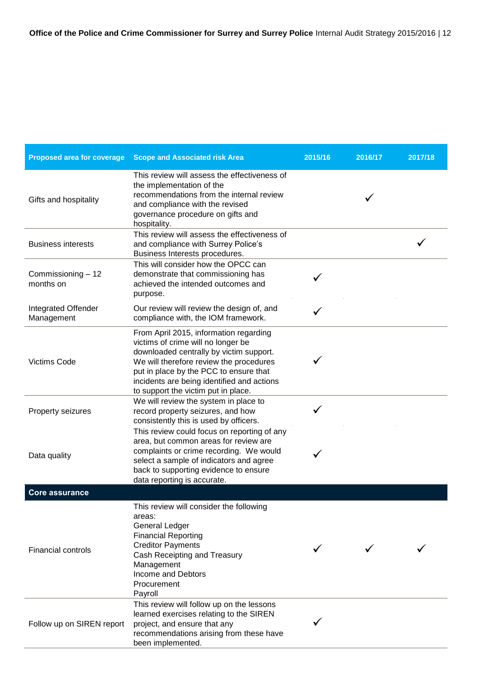| <b>Proposed area for coverage</b> | <b>Scope and Associated risk Area</b>                                                                                                                                                                                                                                                             | 2015/16 | 2016/17 | 2017/18 |
|-----------------------------------|---------------------------------------------------------------------------------------------------------------------------------------------------------------------------------------------------------------------------------------------------------------------------------------------------|---------|---------|---------|
| Gifts and hospitality             | This review will assess the effectiveness of<br>the implementation of the<br>recommendations from the internal review<br>and compliance with the revised<br>governance procedure on gifts and<br>hospitality.                                                                                     |         |         |         |
| <b>Business interests</b>         | This review will assess the effectiveness of<br>and compliance with Surrey Police's<br>Business Interests procedures.                                                                                                                                                                             |         |         |         |
| Commissioning - 12<br>months on   | This will consider how the OPCC can<br>demonstrate that commissioning has<br>achieved the intended outcomes and<br>purpose.                                                                                                                                                                       |         |         |         |
| Integrated Offender<br>Management | Our review will review the design of, and<br>compliance with, the IOM framework.                                                                                                                                                                                                                  | ✓       |         |         |
| <b>Victims Code</b>               | From April 2015, information regarding<br>victims of crime will no longer be<br>downloaded centrally by victim support.<br>We will therefore review the procedures<br>put in place by the PCC to ensure that<br>incidents are being identified and actions<br>to support the victim put in place. |         |         |         |
| Property seizures                 | We will review the system in place to<br>record property seizures, and how<br>consistently this is used by officers.                                                                                                                                                                              |         |         |         |
| Data quality                      | This review could focus on reporting of any<br>area, but common areas for review are<br>complaints or crime recording. We would<br>select a sample of indicators and agree<br>back to supporting evidence to ensure<br>data reporting is accurate.                                                |         |         |         |
| <b>Core assurance</b>             |                                                                                                                                                                                                                                                                                                   |         |         |         |
| <b>Financial controls</b>         | This review will consider the following<br>areas:<br><b>General Ledger</b><br><b>Financial Reporting</b><br><b>Creditor Payments</b><br>Cash Receipting and Treasury<br>Management<br>Income and Debtors<br>Procurement<br>Payroll                                                                |         |         |         |
| Follow up on SIREN report         | This review will follow up on the lessons<br>learned exercises relating to the SIREN<br>project, and ensure that any<br>recommendations arising from these have<br>been implemented.                                                                                                              |         |         |         |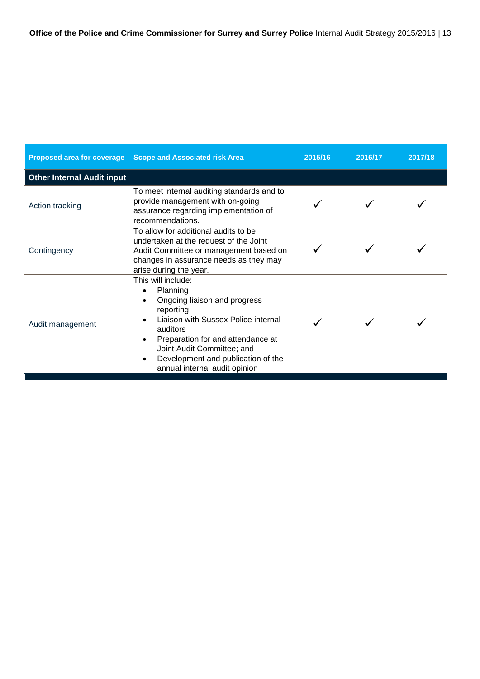|                                   | Proposed area for coverage Scope and Associated risk Area                                                                                                                                                                                                                                                       | 2015/16 | 2016/17 | 2017/18 |
|-----------------------------------|-----------------------------------------------------------------------------------------------------------------------------------------------------------------------------------------------------------------------------------------------------------------------------------------------------------------|---------|---------|---------|
| <b>Other Internal Audit input</b> |                                                                                                                                                                                                                                                                                                                 |         |         |         |
| Action tracking                   | To meet internal auditing standards and to<br>provide management with on-going<br>assurance regarding implementation of<br>recommendations.                                                                                                                                                                     |         |         |         |
| Contingency                       | To allow for additional audits to be<br>undertaken at the request of the Joint<br>Audit Committee or management based on<br>changes in assurance needs as they may<br>arise during the year.                                                                                                                    |         |         |         |
| Audit management                  | This will include:<br>Planning<br>$\bullet$<br>Ongoing liaison and progress<br>$\bullet$<br>reporting<br>Liaison with Sussex Police internal<br>auditors<br>Preparation for and attendance at<br>Joint Audit Committee; and<br>Development and publication of the<br>$\bullet$<br>annual internal audit opinion |         |         |         |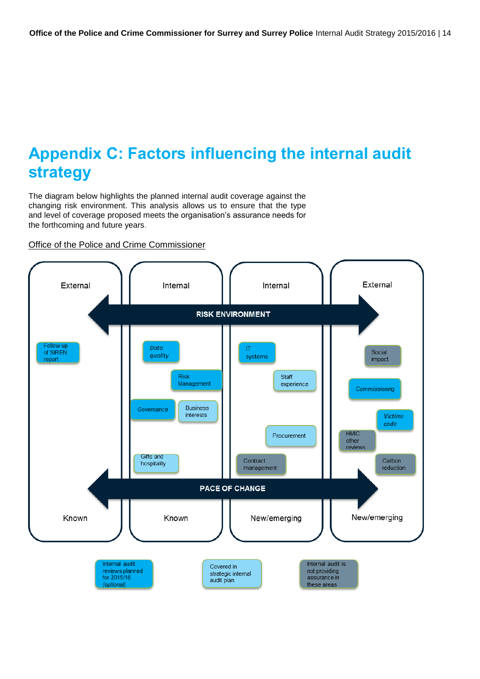# <span id="page-15-0"></span>**Appendix C: Factors influencing the internal audit strategy**

The diagram below highlights the planned internal audit coverage against the changing risk environment. This analysis allows us to ensure that the type and level of coverage proposed meets the organisation's assurance needs for the forthcoming and future years.

Office of the Police and Crime Commissioner

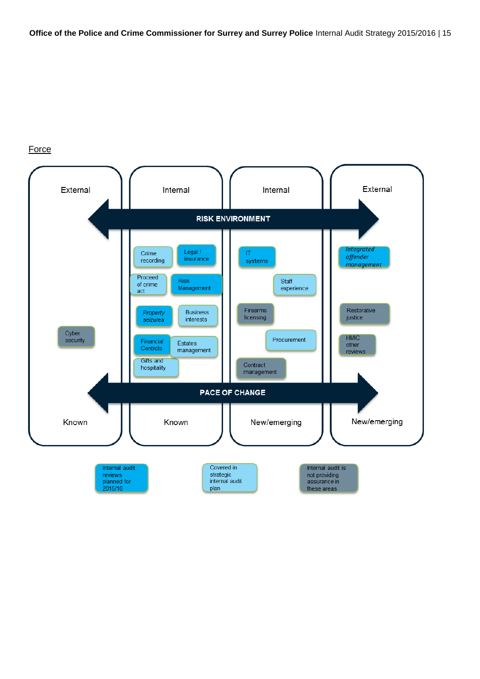### **Force**

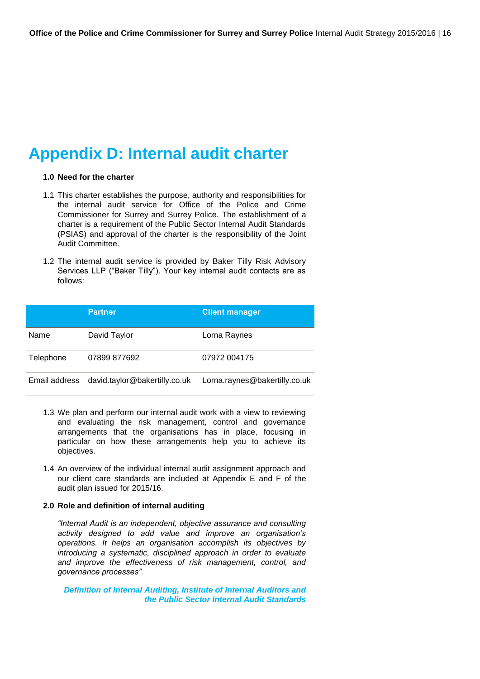## <span id="page-17-0"></span>**Appendix D: Internal audit charter**

### **1.0 Need for the charter**

- 1.1 This charter establishes the purpose, authority and responsibilities for the internal audit service for Office of the Police and Crime Commissioner for Surrey and Surrey Police. The establishment of a charter is a requirement of the Public Sector Internal Audit Standards (PSIAS) and approval of the charter is the responsibility of the Joint Audit Committee.
- 1.2 The internal audit service is provided by Baker Tilly Risk Advisory Services LLP ("Baker Tilly"). Your key internal audit contacts are as follows:

|               | <b>Partner</b>                | <b>Client manager</b>         |
|---------------|-------------------------------|-------------------------------|
| Name          | David Taylor                  | Lorna Raynes                  |
| Telephone     | 07899 877692                  | 07972 004175                  |
| Email address | david.taylor@bakertilly.co.uk | Lorna.raynes@bakertilly.co.uk |

- 1.3 We plan and perform our internal audit work with a view to reviewing and evaluating the risk management, control and governance arrangements that the organisations has in place, focusing in particular on how these arrangements help you to achieve its objectives.
- 1.4 An overview of the individual internal audit assignment approach and our client care standards are included at Appendix E and F of the audit plan issued for 2015/16.

#### **2.0 Role and definition of internal auditing**

*"Internal Audit is an independent, objective assurance and consulting activity designed to add value and improve an organisation's operations. It helps an organisation accomplish its objectives by introducing a systematic, disciplined approach in order to evaluate and improve the effectiveness of risk management, control, and governance processes".* 

*Definition of Internal Auditing, Institute of Internal Auditors and the Public Sector Internal Audit Standards*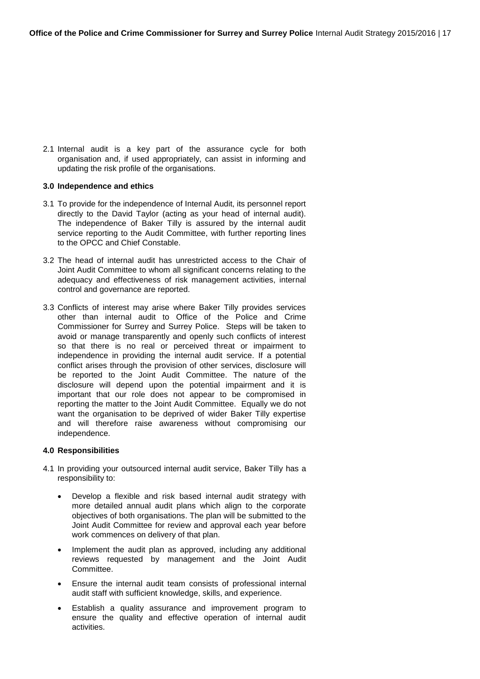2.1 Internal audit is a key part of the assurance cycle for both organisation and, if used appropriately, can assist in informing and updating the risk profile of the organisations.

#### **3.0 Independence and ethics**

- 3.1 To provide for the independence of Internal Audit, its personnel report directly to the David Taylor (acting as your head of internal audit). The independence of Baker Tilly is assured by the internal audit service reporting to the Audit Committee, with further reporting lines to the OPCC and Chief Constable.
- 3.2 The head of internal audit has unrestricted access to the Chair of Joint Audit Committee to whom all significant concerns relating to the adequacy and effectiveness of risk management activities, internal control and governance are reported.
- 3.3 Conflicts of interest may arise where Baker Tilly provides services other than internal audit to Office of the Police and Crime Commissioner for Surrey and Surrey Police. Steps will be taken to avoid or manage transparently and openly such conflicts of interest so that there is no real or perceived threat or impairment to independence in providing the internal audit service. If a potential conflict arises through the provision of other services, disclosure will be reported to the Joint Audit Committee. The nature of the disclosure will depend upon the potential impairment and it is important that our role does not appear to be compromised in reporting the matter to the Joint Audit Committee. Equally we do not want the organisation to be deprived of wider Baker Tilly expertise and will therefore raise awareness without compromising our independence.

#### **4.0 Responsibilities**

- 4.1 In providing your outsourced internal audit service, Baker Tilly has a responsibility to:
	- Develop a flexible and risk based internal audit strategy with more detailed annual audit plans which align to the corporate objectives of both organisations. The plan will be submitted to the Joint Audit Committee for review and approval each year before work commences on delivery of that plan.
	- Implement the audit plan as approved, including any additional reviews requested by management and the Joint Audit Committee.
	- Ensure the internal audit team consists of professional internal audit staff with sufficient knowledge, skills, and experience.
	- Establish a quality assurance and improvement program to ensure the quality and effective operation of internal audit activities.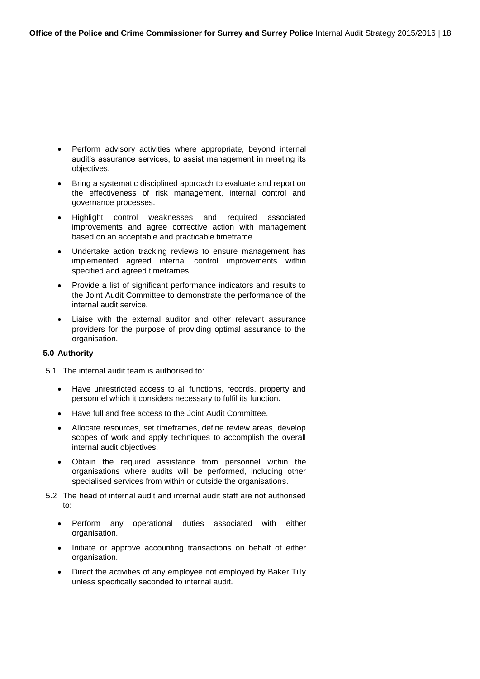- Perform advisory activities where appropriate, beyond internal audit's assurance services, to assist management in meeting its objectives.
- Bring a systematic disciplined approach to evaluate and report on the effectiveness of risk management, internal control and governance processes.
- Highlight control weaknesses and required associated improvements and agree corrective action with management based on an acceptable and practicable timeframe.
- Undertake action tracking reviews to ensure management has implemented agreed internal control improvements within specified and agreed timeframes.
- Provide a list of significant performance indicators and results to the Joint Audit Committee to demonstrate the performance of the internal audit service.
- Liaise with the external auditor and other relevant assurance providers for the purpose of providing optimal assurance to the organisation.

### **5.0 Authority**

- 5.1 The internal audit team is authorised to:
	- Have unrestricted access to all functions, records, property and personnel which it considers necessary to fulfil its function.
	- Have full and free access to the Joint Audit Committee.
	- Allocate resources, set timeframes, define review areas, develop scopes of work and apply techniques to accomplish the overall internal audit objectives.
	- Obtain the required assistance from personnel within the organisations where audits will be performed, including other specialised services from within or outside the organisations.
- 5.2 The head of internal audit and internal audit staff are not authorised to:
	- Perform any operational duties associated with either organisation.
	- Initiate or approve accounting transactions on behalf of either organisation.
	- Direct the activities of any employee not employed by Baker Tilly unless specifically seconded to internal audit.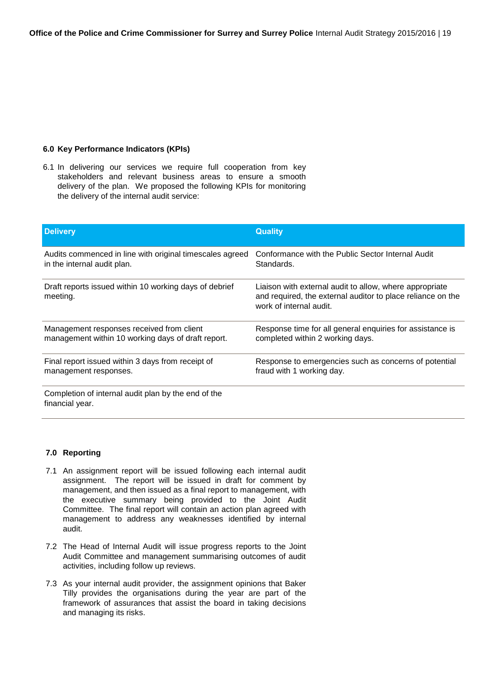#### **6.0 Key Performance Indicators (KPIs)**

6.1 In delivering our services we require full cooperation from key stakeholders and relevant business areas to ensure a smooth delivery of the plan. We proposed the following KPIs for monitoring the delivery of the internal audit service:

| <b>Delivery</b>                                                        | <b>Quality</b>                                                                                                                                    |
|------------------------------------------------------------------------|---------------------------------------------------------------------------------------------------------------------------------------------------|
| Audits commenced in line with original timescales agreed               | Conformance with the Public Sector Internal Audit                                                                                                 |
| in the internal audit plan.                                            | Standards.                                                                                                                                        |
| Draft reports issued within 10 working days of debrief<br>meeting.     | Liaison with external audit to allow, where appropriate<br>and required, the external auditor to place reliance on the<br>work of internal audit. |
| Management responses received from client                              | Response time for all general enquiries for assistance is                                                                                         |
| management within 10 working days of draft report.                     | completed within 2 working days.                                                                                                                  |
| Final report issued within 3 days from receipt of                      | Response to emergencies such as concerns of potential                                                                                             |
| management responses.                                                  | fraud with 1 working day.                                                                                                                         |
| Completion of internal audit plan by the end of the<br>financial year. |                                                                                                                                                   |

#### **7.0 Reporting**

- 7.1 An assignment report will be issued following each internal audit assignment. The report will be issued in draft for comment by management, and then issued as a final report to management, with the executive summary being provided to the Joint Audit Committee. The final report will contain an action plan agreed with management to address any weaknesses identified by internal audit.
- 7.2 The Head of Internal Audit will issue progress reports to the Joint Audit Committee and management summarising outcomes of audit activities, including follow up reviews.
- 7.3 As your internal audit provider, the assignment opinions that Baker Tilly provides the organisations during the year are part of the framework of assurances that assist the board in taking decisions and managing its risks.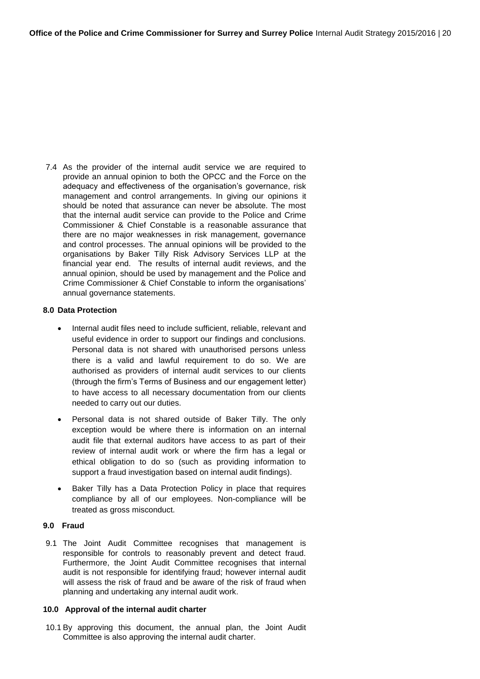7.4 As the provider of the internal audit service we are required to provide an annual opinion to both the OPCC and the Force on the adequacy and effectiveness of the organisation's governance, risk management and control arrangements. In giving our opinions it should be noted that assurance can never be absolute. The most that the internal audit service can provide to the Police and Crime Commissioner & Chief Constable is a reasonable assurance that there are no major weaknesses in risk management, governance and control processes. The annual opinions will be provided to the organisations by Baker Tilly Risk Advisory Services LLP at the financial year end. The results of internal audit reviews, and the annual opinion, should be used by management and the Police and Crime Commissioner & Chief Constable to inform the organisations' annual governance statements.

#### **8.0 Data Protection**

- Internal audit files need to include sufficient, reliable, relevant and useful evidence in order to support our findings and conclusions. Personal data is not shared with unauthorised persons unless there is a valid and lawful requirement to do so. We are authorised as providers of internal audit services to our clients (through the firm's Terms of Business and our engagement letter) to have access to all necessary documentation from our clients needed to carry out our duties.
- Personal data is not shared outside of Baker Tilly. The only exception would be where there is information on an internal audit file that external auditors have access to as part of their review of internal audit work or where the firm has a legal or ethical obligation to do so (such as providing information to support a fraud investigation based on internal audit findings).
- Baker Tilly has a Data Protection Policy in place that requires compliance by all of our employees. Non-compliance will be treated as gross misconduct.

### **9.0 Fraud**

9.1 The Joint Audit Committee recognises that management is responsible for controls to reasonably prevent and detect fraud. Furthermore, the Joint Audit Committee recognises that internal audit is not responsible for identifying fraud; however internal audit will assess the risk of fraud and be aware of the risk of fraud when planning and undertaking any internal audit work.

#### **10.0 Approval of the internal audit charter**

10.1 By approving this document, the annual plan, the Joint Audit Committee is also approving the internal audit charter.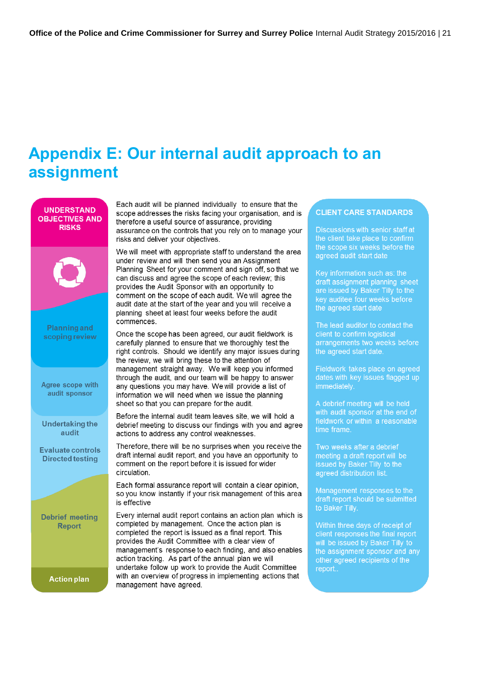# <span id="page-22-0"></span>**Appendix E: Our internal audit approach to an assignment**



Each audit will be planned individually to ensure that the scope addresses the risks facing your organisation, and is therefore a useful source of assurance, providing assurance on the controls that you rely on to manage your risks and deliver your objectives.

We will meet with appropriate staff to understand the area under review and will then send you an Assignment Planning Sheet for your comment and sign off, so that we can discuss and agree the scope of each review; this provides the Audit Sponsor with an opportunity to comment on the scope of each audit. We will agree the audit date at the start of the year and you will receive a planning sheet at least four weeks before the audit

Once the scope has been agreed, our audit fieldwork is carefully planned to ensure that we thoroughly test the right controls. Should we identify any major issues during the review, we will bring these to the attention of management straight away. We will keep you informed through the audit, and our team will be happy to answer any questions you may have. We will provide a list of information we will need when we issue the planning sheet so that you can prepare for the audit.

Before the internal audit team leaves site, we will hold a debrief meeting to discuss our findings with you and agree actions to address any control weaknesses.

Therefore, there will be no surprises when you receive the draft internal audit report, and you have an opportunity to comment on the report before it is issued for wider

Each formal assurance report will contain a clear opinion. so you know instantly if your risk management of this area

Every internal audit report contains an action plan which is completed by management. Once the action plan is completed the report is issued as a final report. This provides the Audit Committee with a clear view of management's response to each finding, and also enables action tracking. As part of the annual plan we will undertake follow up work to provide the Audit Committee with an overview of progress in implementing actions that management have agreed.

### **CLIENT CARE STANDARDS**

Discussions with senior staff at the client take place to confirm the scope six weeks before the agreed audit start date

Key information such as: the draft assignment planning sheet are issued by Baker Tilly to the the agreed start date

The lead auditor to contact the client to confirm logistical arrangements two weeks before the agreed start date.

Fieldwork takes place on agreed dates with key issues flagged up immediately.

A debrief meeting will be held with audit sponsor at the end of time frame.

Two weeks after a debrief meeting a draft report will be issued by Baker Tilly to the agreed distribution list.

Management responses to the draft report should be submitted to Baker Tilly.

change and days of receipt of<br>client responses the final report<br>will be issued by Baker Tilly to the assignment sponsor and any other agreed recipients of the report..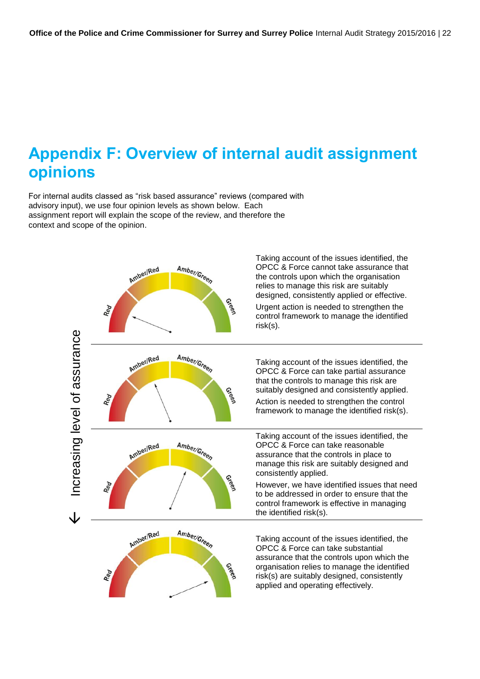## <span id="page-23-0"></span>**Appendix F: Overview of internal audit assignment opinions**

For internal audits classed as "risk based assurance" reviews (compared with advisory input), we use four opinion levels as shown below. Each assignment report will explain the scope of the review, and therefore the context and scope of the opinion.